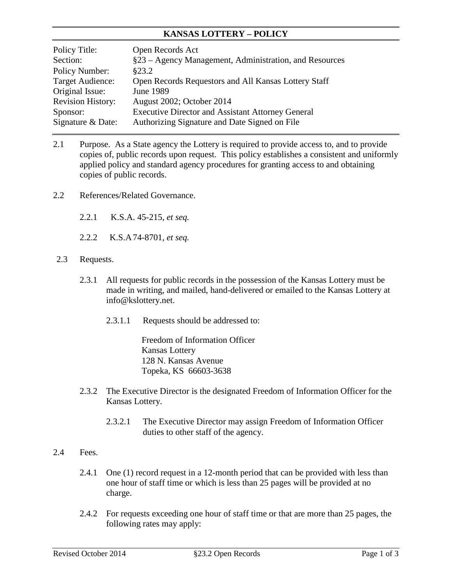## **KANSAS LOTTERY – POLICY**

| Policy Title:            | Open Records Act                                         |
|--------------------------|----------------------------------------------------------|
| Section:                 | §23 – Agency Management, Administration, and Resources   |
| Policy Number:           | \$23.2                                                   |
| Target Audience:         | Open Records Requestors and All Kansas Lottery Staff     |
| Original Issue:          | <b>June 1989</b>                                         |
| <b>Revision History:</b> | August 2002; October 2014                                |
| Sponsor:                 | <b>Executive Director and Assistant Attorney General</b> |
| Signature & Date:        | Authorizing Signature and Date Signed on File            |

- 2.1 Purpose. As a State agency the Lottery is required to provide access to, and to provide copies of, public records upon request. This policy establishes a consistent and uniformly applied policy and standard agency procedures for granting access to and obtaining copies of public records.
- 2.2 References/Related Governance.
	- 2.2.1 K.S.A. 45-215, *et seq.*
	- 2.2.2 K.S.A 74-8701, *et seq.*
- 2.3 Requests.
	- 2.3.1 All requests for public records in the possession of the Kansas Lottery must be made in writing, and mailed, hand-delivered or emailed to the Kansas Lottery at info@kslottery.net.
		- 2.3.1.1 Requests should be addressed to:

Freedom of Information Officer Kansas Lottery 128 N. Kansas Avenue Topeka, KS 66603-3638

- 2.3.2 The Executive Director is the designated Freedom of Information Officer for the Kansas Lottery.
	- 2.3.2.1 The Executive Director may assign Freedom of Information Officer duties to other staff of the agency.

## 2.4 Fees.

- 2.4.1 One (1) record request in a 12-month period that can be provided with less than one hour of staff time or which is less than 25 pages will be provided at no charge.
- 2.4.2 For requests exceeding one hour of staff time or that are more than 25 pages, the following rates may apply: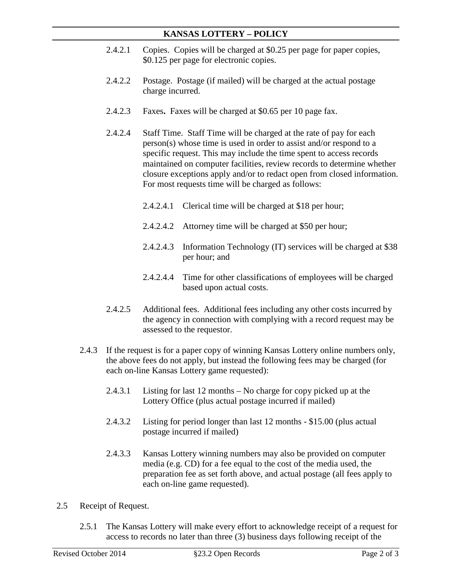## **KANSAS LOTTERY – POLICY**

- 2.4.2.1 Copies. Copies will be charged at \$0.25 per page for paper copies, \$0.125 per page for electronic copies.
- 2.4.2.2 Postage. Postage (if mailed) will be charged at the actual postage charge incurred.
- 2.4.2.3 Faxes**.** Faxes will be charged at \$0.65 per 10 page fax.
- 2.4.2.4 Staff Time. Staff Time will be charged at the rate of pay for each person(s) whose time is used in order to assist and/or respond to a specific request. This may include the time spent to access records maintained on computer facilities, review records to determine whether closure exceptions apply and/or to redact open from closed information. For most requests time will be charged as follows:
	- 2.4.2.4.1 Clerical time will be charged at \$18 per hour;
	- 2.4.2.4.2 Attorney time will be charged at \$50 per hour;
	- 2.4.2.4.3 Information Technology (IT) services will be charged at \$38 per hour; and
	- 2.4.2.4.4 Time for other classifications of employees will be charged based upon actual costs.
- 2.4.2.5 Additional fees.Additional fees including any other costs incurred by the agency in connection with complying with a record request may be assessed to the requestor.
- 2.4.3 If the request is for a paper copy of winning Kansas Lottery online numbers only, the above fees do not apply, but instead the following fees may be charged (for each on-line Kansas Lottery game requested):
	- 2.4.3.1 Listing for last 12 months No charge for copy picked up at the Lottery Office (plus actual postage incurred if mailed)
	- 2.4.3.2 Listing for period longer than last 12 months \$15.00 (plus actual postage incurred if mailed)
	- 2.4.3.3 Kansas Lottery winning numbers may also be provided on computer media (e.g. CD) for a fee equal to the cost of the media used, the preparation fee as set forth above, and actual postage (all fees apply to each on-line game requested).
- 2.5 Receipt of Request.
	- 2.5.1 The Kansas Lottery will make every effort to acknowledge receipt of a request for access to records no later than three (3) business days following receipt of the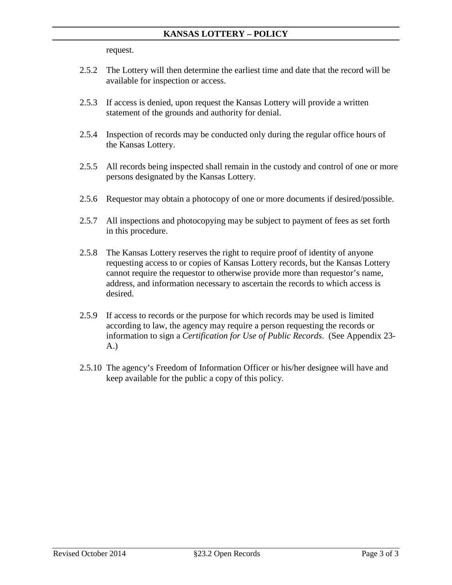request.

- 2.5.2 The Lottery will then determine the earliest time and date that the record will be available for inspection or access.
- 2.5.3 If access is denied, upon request the Kansas Lottery will provide a written statement of the grounds and authority for denial.
- 2.5.4 Inspection of records may be conducted only during the regular office hours of the Kansas Lottery.
- 2.5.5 All records being inspected shall remain in the custody and control of one or more persons designated by the Kansas Lottery.
- 2.5.6 Requestor may obtain a photocopy of one or more documents if desired/possible.
- 2.5.7 All inspections and photocopying may be subject to payment of fees as set forth in this procedure.
- 2.5.8 The Kansas Lottery reserves the right to require proof of identity of anyone requesting access to or copies of Kansas Lottery records, but the Kansas Lottery cannot require the requestor to otherwise provide more than requestor's name, address, and information necessary to ascertain the records to which access is desired.
- 2.5.9 If access to records or the purpose for which records may be used is limited according to law, the agency may require a person requesting the records or information to sign a *Certification for Use of Public Records*. (See Appendix 23- A.)
- 2.5.10 The agency's Freedom of Information Officer or his/her designee will have and keep available for the public a copy of this policy.